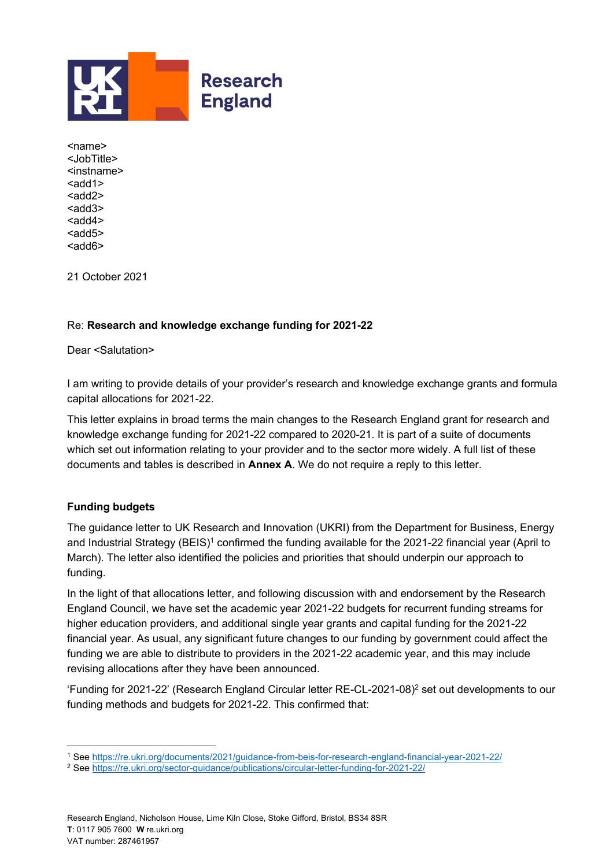

<name> <JobTitle> <instname>  $<$ add $1>$ <add2> <add3> <add4>  $< add5>$ <add6>

21 October 2021

## Re: **Research and knowledge exchange funding for 2021-22**

Dear <Salutation>

I am writing to provide details of your provider's research and knowledge exchange grants and formula capital allocations for 2021-22.

This letter explains in broad terms the main changes to the Research England grant for research and knowledge exchange funding for 2021-22 compared to 2020-21. It is part of a suite of documents which set out information relating to your provider and to the sector more widely. A full list of these documents and tables is described in **Annex A**. We do not require a reply to this letter.

#### **Funding budgets**

The guidance letter to UK Research and Innovation (UKRI) from the Department for Business, Energy and Industrial Strategy (BEIS)<sup>1</sup> confirmed the funding available for the 2021-22 financial year (April to March). The letter also identified the policies and priorities that should underpin our approach to funding.

In the light of that allocations letter, and following discussion with and endorsement by the Research England Council, we have set the academic year 2021-22 budgets for recurrent funding streams for higher education providers, and additional single year grants and capital funding for the 2021-22 financial year. As usual, any significant future changes to our funding by government could affect the funding we are able to distribute to providers in the 2021-22 academic year, and this may include revising allocations after they have been announced.

'Funding for 2021-22' (Research England Circular letter RE-CL-2021-08) <sup>2</sup> set out developments to our funding methods and budgets for 2021-22. This confirmed that:

<sup>1</sup> Se[e https://re.ukri.org/documents/2021/guidance-from-beis-for-research-england-financial-year-2021-22/](https://re.ukri.org/documents/2021/guidance-from-beis-for-research-england-financial-year-2021-22/)

<sup>2</sup> Se[e https://re.ukri.org/sector-guidance/publications/circular-letter-funding-for-2021-22/](https://re.ukri.org/sector-guidance/publications/circular-letter-funding-for-2021-22/)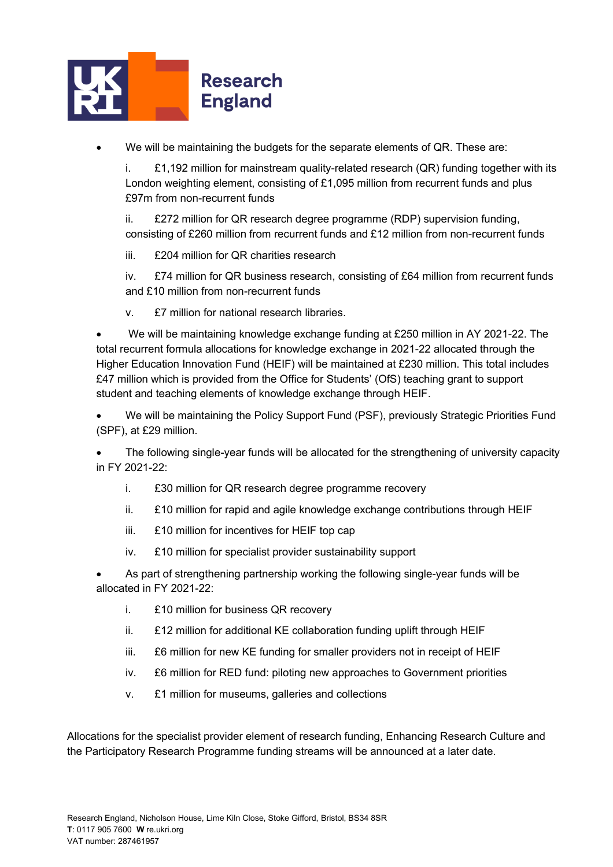

• We will be maintaining the budgets for the separate elements of QR. These are:

i. £1,192 million for mainstream quality-related research (QR) funding together with its London weighting element, consisting of £1,095 million from recurrent funds and plus £97m from non-recurrent funds

ii. £272 million for QR research degree programme (RDP) supervision funding, consisting of £260 million from recurrent funds and £12 million from non-recurrent funds

iii. £204 million for QR charities research

iv. £74 million for QR business research, consisting of £64 million from recurrent funds and £10 million from non-recurrent funds

v. £7 million for national research libraries.

• We will be maintaining knowledge exchange funding at £250 million in AY 2021-22. The total recurrent formula allocations for knowledge exchange in 2021-22 allocated through the Higher Education Innovation Fund (HEIF) will be maintained at £230 million. This total includes £47 million which is provided from the Office for Students' (OfS) teaching grant to support student and teaching elements of knowledge exchange through HEIF.

• We will be maintaining the Policy Support Fund (PSF), previously Strategic Priorities Fund (SPF), at £29 million.

• The following single-year funds will be allocated for the strengthening of university capacity in FY 2021-22:

- i. £30 million for QR research degree programme recovery
- ii. £10 million for rapid and agile knowledge exchange contributions through HEIF
- iii. £10 million for incentives for HEIF top cap
- iv. £10 million for specialist provider sustainability support

• As part of strengthening partnership working the following single-year funds will be allocated in FY 2021-22:

- i. £10 million for business QR recovery
- ii. £12 million for additional KE collaboration funding uplift through HEIF
- iii. £6 million for new KE funding for smaller providers not in receipt of HEIF
- iv. £6 million for RED fund: piloting new approaches to Government priorities
- v. £1 million for museums, galleries and collections

Allocations for the specialist provider element of research funding, Enhancing Research Culture and the Participatory Research Programme funding streams will be announced at a later date.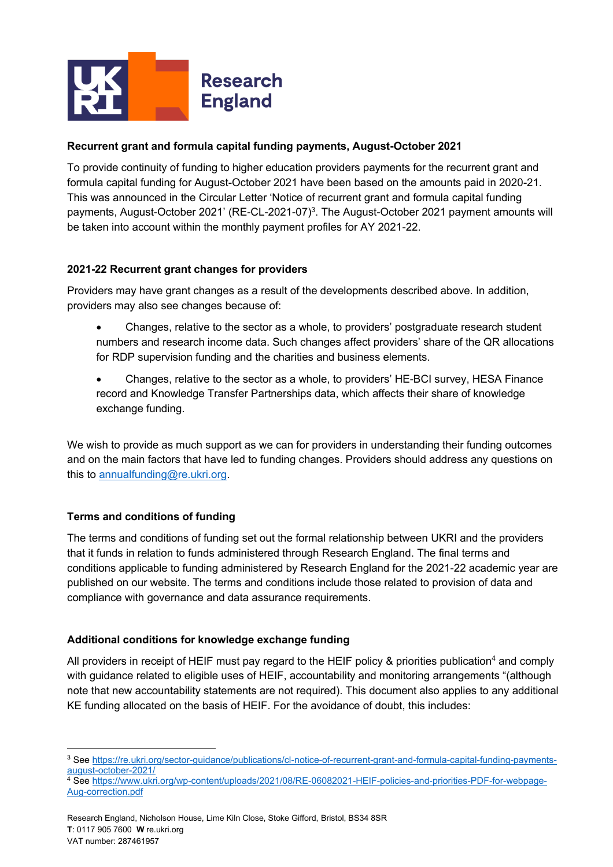

# **Recurrent grant and formula capital funding payments, August-October 2021**

To provide continuity of funding to higher education providers payments for the recurrent grant and formula capital funding for August-October 2021 have been based on the amounts paid in 2020-21. This was announced in the Circular Letter 'Notice of recurrent grant and formula capital funding payments, August-October 2021' (RE-CL-2021-07)<sup>3</sup>. The August-October 2021 payment amounts will be taken into account within the monthly payment profiles for AY 2021-22.

## **2021-22 Recurrent grant changes for providers**

Providers may have grant changes as a result of the developments described above. In addition, providers may also see changes because of:

- Changes, relative to the sector as a whole, to providers' postgraduate research student numbers and research income data. Such changes affect providers' share of the QR allocations for RDP supervision funding and the charities and business elements.
- Changes, relative to the sector as a whole, to providers' HE-BCI survey, HESA Finance record and Knowledge Transfer Partnerships data, which affects their share of knowledge exchange funding.

We wish to provide as much support as we can for providers in understanding their funding outcomes and on the main factors that have led to funding changes. Providers should address any questions on this to [annualfunding@re.ukri.org.](mailto:annualfunding@re.ukri.org)

#### **Terms and conditions of funding**

The terms and conditions of funding set out the formal relationship between UKRI and the providers that it funds in relation to funds administered through Research England. The final terms and conditions applicable to funding administered by Research England for the 2021-22 academic year are published on our website. The terms and conditions include those related to provision of data and compliance with governance and data assurance requirements.

#### **Additional conditions for knowledge exchange funding**

All providers in receipt of HEIF must pay regard to the HEIF policy & priorities publication<sup>4</sup> and comply with guidance related to eligible uses of HEIF, accountability and monitoring arrangements "(although note that new accountability statements are not required). This document also applies to any additional KE funding allocated on the basis of HEIF. For the avoidance of doubt, this includes:

<sup>&</sup>lt;sup>3</sup> Se[e https://re.ukri.org/sector-guidance/publications/cl-notice-of-recurrent-grant-and-formula-capital-funding-payments](https://re.ukri.org/sector-guidance/publications/cl-notice-of-recurrent-grant-and-formula-capital-funding-payments-august-october-2021/)[august-october-2021/](https://re.ukri.org/sector-guidance/publications/cl-notice-of-recurrent-grant-and-formula-capital-funding-payments-august-october-2021/)

<sup>&</sup>lt;sup>4</sup> Se[e https://www.ukri.org/wp-content/uploads/2021/08/RE-06082021-HEIF-policies-and-priorities-PDF-for-webpage-](https://www.ukri.org/wp-content/uploads/2021/08/RE-06082021-HEIF-policies-and-priorities-PDF-for-webpage-Aug-correction.pdf)[Aug-correction.pdf](https://www.ukri.org/wp-content/uploads/2021/08/RE-06082021-HEIF-policies-and-priorities-PDF-for-webpage-Aug-correction.pdf)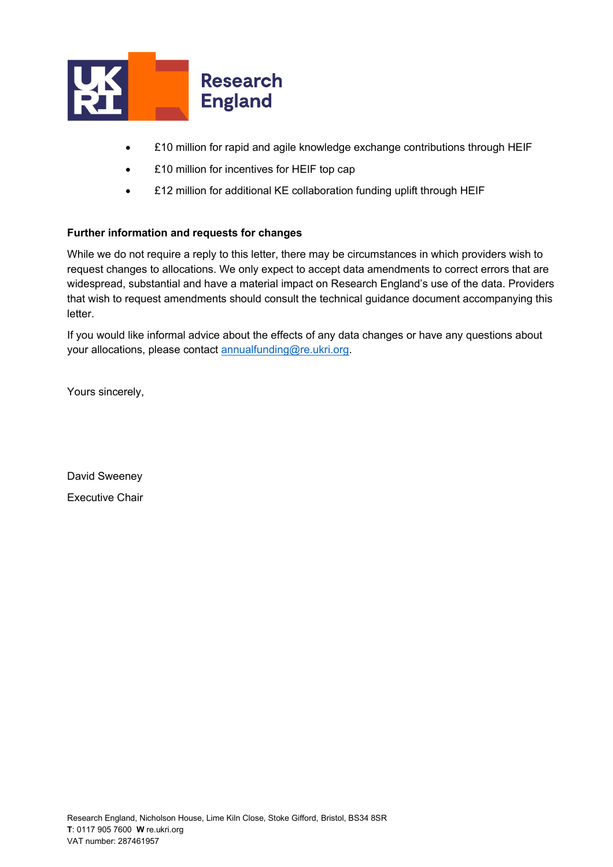

- £10 million for rapid and agile knowledge exchange contributions through HEIF
- **£10 million for incentives for HEIF top cap**
- £12 million for additional KE collaboration funding uplift through HEIF

#### **Further information and requests for changes**

While we do not require a reply to this letter, there may be circumstances in which providers wish to request changes to allocations. We only expect to accept data amendments to correct errors that are widespread, substantial and have a material impact on Research England's use of the data. Providers that wish to request amendments should consult the technical guidance document accompanying this letter.

If you would like informal advice about the effects of any data changes or have any questions about your allocations, please contact [annualfunding@re.ukri.org.](mailto:annualfunding@re.ukri.org)

Yours sincerely,

David Sweeney Executive Chair